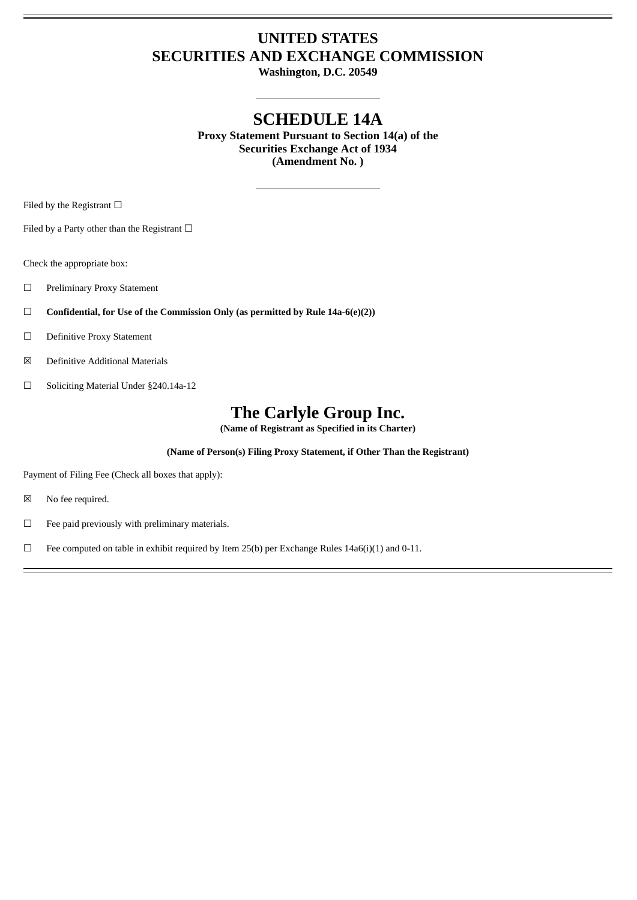# **UNITED STATES SECURITIES AND EXCHANGE COMMISSION**

**Washington, D.C. 20549**

# **SCHEDULE 14A**

**Proxy Statement Pursuant to Section 14(a) of the Securities Exchange Act of 1934 (Amendment No. )**

Filed by the Registrant  $\Box$ 

Filed by a Party other than the Registrant  $□$ 

Check the appropriate box:

- ☐ Preliminary Proxy Statement
- ☐ **Confidential, for Use of the Commission Only (as permitted by Rule 14a-6(e)(2))**
- ☐ Definitive Proxy Statement
- ☒ Definitive Additional Materials
- ☐ Soliciting Material Under §240.14a-12

# **The Carlyle Group Inc.**

**(Name of Registrant as Specified in its Charter)**

# **(Name of Person(s) Filing Proxy Statement, if Other Than the Registrant)**

Payment of Filing Fee (Check all boxes that apply):

- ☒ No fee required.
- $\Box$  Fee paid previously with preliminary materials.
- $\Box$  Fee computed on table in exhibit required by Item 25(b) per Exchange Rules 14a6(i)(1) and 0-11.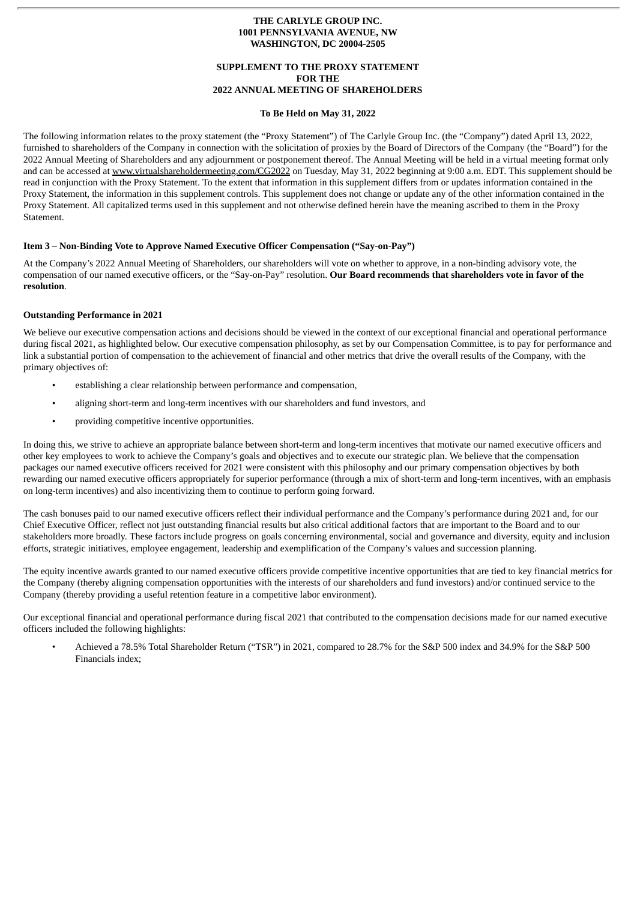#### **THE CARLYLE GROUP INC. 1001 PENNSYLVANIA AVENUE, NW WASHINGTON, DC 20004-2505**

## **SUPPLEMENT TO THE PROXY STATEMENT FOR THE 2022 ANNUAL MEETING OF SHAREHOLDERS**

#### **To Be Held on May 31, 2022**

The following information relates to the proxy statement (the "Proxy Statement") of The Carlyle Group Inc. (the "Company") dated April 13, 2022, furnished to shareholders of the Company in connection with the solicitation of proxies by the Board of Directors of the Company (the "Board") for the 2022 Annual Meeting of Shareholders and any adjournment or postponement thereof. The Annual Meeting will be held in a virtual meeting format only and can be accessed at www.virtualshareholdermeeting.com/CG2022 on Tuesday, May 31, 2022 beginning at 9:00 a.m. EDT. This supplement should be read in conjunction with the Proxy Statement. To the extent that information in this supplement differs from or updates information contained in the Proxy Statement, the information in this supplement controls. This supplement does not change or update any of the other information contained in the Proxy Statement. All capitalized terms used in this supplement and not otherwise defined herein have the meaning ascribed to them in the Proxy Statement.

### **Item 3 – Non-Binding Vote to Approve Named Executive Officer Compensation ("Say-on-Pay")**

At the Company's 2022 Annual Meeting of Shareholders, our shareholders will vote on whether to approve, in a non-binding advisory vote, the compensation of our named executive officers, or the "Say-on-Pay" resolution. **Our Board recommends that shareholders vote in favor of the resolution**.

#### **Outstanding Performance in 2021**

We believe our executive compensation actions and decisions should be viewed in the context of our exceptional financial and operational performance during fiscal 2021, as highlighted below. Our executive compensation philosophy, as set by our Compensation Committee, is to pay for performance and link a substantial portion of compensation to the achievement of financial and other metrics that drive the overall results of the Company, with the primary objectives of:

- establishing a clear relationship between performance and compensation,
- aligning short-term and long-term incentives with our shareholders and fund investors, and
- providing competitive incentive opportunities.

In doing this, we strive to achieve an appropriate balance between short-term and long-term incentives that motivate our named executive officers and other key employees to work to achieve the Company's goals and objectives and to execute our strategic plan. We believe that the compensation packages our named executive officers received for 2021 were consistent with this philosophy and our primary compensation objectives by both rewarding our named executive officers appropriately for superior performance (through a mix of short-term and long-term incentives, with an emphasis on long-term incentives) and also incentivizing them to continue to perform going forward.

The cash bonuses paid to our named executive officers reflect their individual performance and the Company's performance during 2021 and, for our Chief Executive Officer, reflect not just outstanding financial results but also critical additional factors that are important to the Board and to our stakeholders more broadly. These factors include progress on goals concerning environmental, social and governance and diversity, equity and inclusion efforts, strategic initiatives, employee engagement, leadership and exemplification of the Company's values and succession planning.

The equity incentive awards granted to our named executive officers provide competitive incentive opportunities that are tied to key financial metrics for the Company (thereby aligning compensation opportunities with the interests of our shareholders and fund investors) and/or continued service to the Company (thereby providing a useful retention feature in a competitive labor environment).

Our exceptional financial and operational performance during fiscal 2021 that contributed to the compensation decisions made for our named executive officers included the following highlights:

• Achieved a 78.5% Total Shareholder Return ("TSR") in 2021, compared to 28.7% for the S&P 500 index and 34.9% for the S&P 500 Financials index;